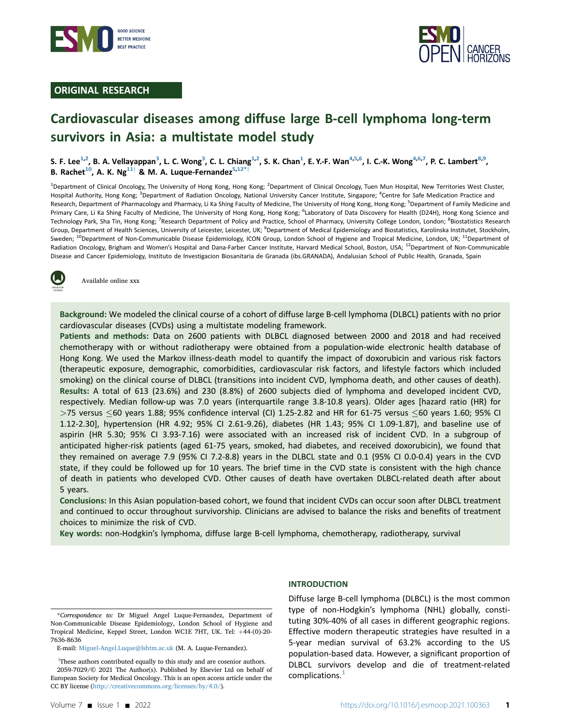

## ORIGINAL RESEARCH



# Cardiovascular diseases among diffuse large B-cell lymphoma long-term survivors in Asia: a multistate model study

S. F. Lee<sup>[1,2](#page-0-0)</sup>, B. A. Vellayappan<sup>[3](#page-0-1)</sup>, L. C. Wong<sup>3</sup>, C. L. Chiang<sup>[1](#page-0-0),2</sup>, S. K. Chan<sup>1</sup>, E. Y.-F. Wan<sup>4,[5](#page-0-2)[,6](#page-0-3)</sup>, I. C.-K. Wong<sup>[4](#page-0-1),6[,7](#page-0-4)</sup>, P. C. Lambert<sup>[8](#page-0-4)[,9](#page-0-5)</sup>, B. Rachet<sup>[10](#page-0-6)</sup>, A. K. Ng<sup>11†</sup> & M. A. Luque-Fernandez<sup>[5](#page-0-2),[12](#page-0-7)</sup>

<span id="page-0-5"></span><span id="page-0-4"></span><span id="page-0-3"></span><span id="page-0-2"></span><span id="page-0-1"></span><span id="page-0-0"></span><sup>1</sup>Department of Clinical Oncology, The University of Hong Kong, Hong Kong; <sup>2</sup>Department of Clinical Oncology, Tuen Mun Hospital, New Territories West Cluster, Hospital Authority, Hong Kong; <sup>3</sup>Department of Radiation Oncology, National University Cancer Institute, Singapore; <sup>4</sup>Centre for Safe Medication Practice and Research, Department of Pharmacology and Pharmacy, Li Ka Shing Faculty of Medicine, The University of Hong Kong, Hong Kong; <sup>5</sup>Department of Family Medicine and Primary Care, Li Ka Shing Faculty of Medicine, The University of Hong Kong, <sup>f</sup>uaboratory of Data Discovery for Health (D24H), Hong Kong Science and Technology Park, Sha Tin, Hong Kong; <sup>7</sup>Research Department of Policy and Practice, School of Pharmacy, University College London, London; <sup>8</sup>Biostatistics Research Group, Department of Health Sciences, University of Leicester, Leicester, UK; <sup>9</sup>Department of Medical Epidemiology and Biostatistics, Karolinska Institutet, Stockholm, Sweden; <sup>10</sup>Department of Non-Communicable Disease Epidemiology, ICON Group, London School of Hygiene and Tropical Medicine, London, UK; <sup>11</sup>Department of Radiation Oncology, Brigham and Women's Hospital and Dana-Farber Cancer Institute, Harvard Medical School, Boston, USA; <sup>12</sup>Department of Non-Communicable Disease and Cancer Epidemiology, Instituto de Investigacion Biosanitaria de Granada (ibs.GRANADA), Andalusian School of Public Health, Granada, Spain

<span id="page-0-7"></span><span id="page-0-6"></span>

Available online xxx

Background: We modeled the clinical course of a cohort of diffuse large B-cell lymphoma (DLBCL) patients with no prior cardiovascular diseases (CVDs) using a multistate modeling framework.

Patients and methods: Data on 2600 patients with DLBCL diagnosed between 2000 and 2018 and had received chemotherapy with or without radiotherapy were obtained from a population-wide electronic health database of Hong Kong. We used the Markov illness-death model to quantify the impact of doxorubicin and various risk factors (therapeutic exposure, demographic, comorbidities, cardiovascular risk factors, and lifestyle factors which included smoking) on the clinical course of DLBCL (transitions into incident CVD, lymphoma death, and other causes of death). Results: A total of 613 (23.6%) and 230 (8.8%) of 2600 subjects died of lymphoma and developed incident CVD, respectively. Median follow-up was 7.0 years (interquartile range 3.8-10.8 years). Older ages [hazard ratio (HR) for  $>$ 75 versus  $\leq$ 60 years 1.88; 95% confidence interval (CI) 1.25-2.82 and HR for 61-75 versus  $\leq$ 60 years 1.60; 95% CI 1.12-2.30], hypertension (HR 4.92; 95% CI 2.61-9.26), diabetes (HR 1.43; 95% CI 1.09-1.87), and baseline use of aspirin (HR 5.30; 95% CI 3.93-7.16) were associated with an increased risk of incident CVD. In a subgroup of anticipated higher-risk patients (aged 61-75 years, smoked, had diabetes, and received doxorubicin), we found that they remained on average 7.9 (95% CI 7.2-8.8) years in the DLBCL state and 0.1 (95% CI 0.0-0.4) years in the CVD state, if they could be followed up for 10 years. The brief time in the CVD state is consistent with the high chance of death in patients who developed CVD. Other causes of death have overtaken DLBCL-related death after about 5 years.

Conclusions: In this Asian population-based cohort, we found that incident CVDs can occur soon after DLBCL treatment and continued to occur throughout survivorship. Clinicians are advised to balance the risks and benefits of treatment choices to minimize the risk of CVD.

Key words: non-Hodgkin's lymphoma, diffuse large B-cell lymphoma, chemotherapy, radiotherapy, survival

<span id="page-0-8"></span>\*Correspondence to: Dr Miguel Angel Luque-Fernandez, Department of Non-Communicable Disease Epidemiology, London School of Hygiene and Tropical Medicine, Keppel Street, London WC1E 7HT, UK. Tel: +44-(0)-20-7636-8636

#### INTRODUCTION

Diffuse large B-cell lymphoma (DLBCL) is the most common type of non-Hodgkin's lymphoma (NHL) globally, constituting 30%-40% of all cases in different geographic regions. Effective modern therapeutic strategies have resulted in a 5-year median survival of 63.2% according to the US population-based data. However, a significant proportion of DLBCL survivors develop and die of treatment-related  $complications.<sup>1</sup>$  $complications.<sup>1</sup>$  $complications.<sup>1</sup>$ 

E-mail: [Miguel-Angel.Luque@lshtm.ac.uk](mailto:Miguel-Angel.Luque@lshtm.ac.uk) (M. A. Luque-Fernandez).

<sup>&</sup>lt;sup>†</sup>These authors contributed equally to this study and are cosenior authors. 2059-7029/© 2021 The Author(s). Published by Elsevier Ltd on behalf of European Society for Medical Oncology. This is an open access article under the CC BY license ([http://creativecommons.org/licenses/by/4.0/\)](http://creativecommons.org/licenses/by/4.0/).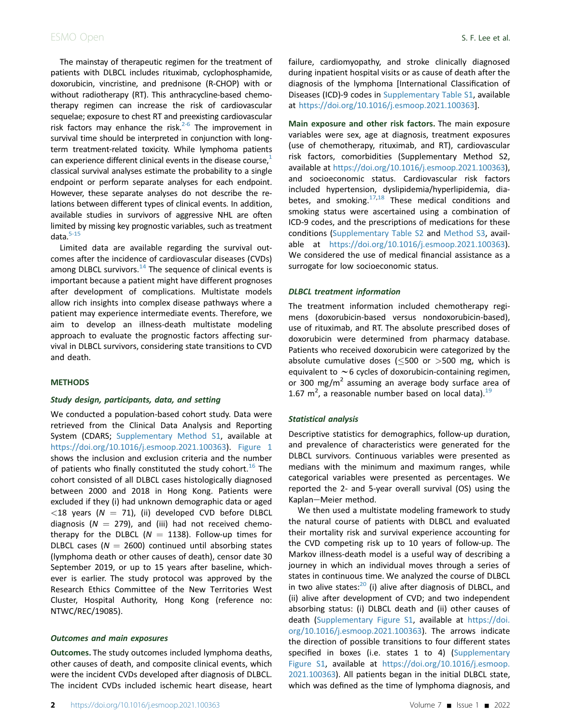The mainstay of therapeutic regimen for the treatment of patients with DLBCL includes rituximab, cyclophosphamide, doxorubicin, vincristine, and prednisone (R-CHOP) with or without radiotherapy (RT). This anthracycline-based chemotherapy regimen can increase the risk of cardiovascular sequelae; exposure to chest RT and preexisting cardiovascular risk factors may enhance the risk. $2-6$  The improvement in survival time should be interpreted in conjunction with longterm treatment-related toxicity. While lymphoma patients can experience different clinical events in the disease course, $<sup>1</sup>$ </sup> classical survival analyses estimate the probability to a single endpoint or perform separate analyses for each endpoint. However, these separate analyses do not describe the relations between different types of clinical events. In addition, available studies in survivors of aggressive NHL are often limited by missing key prognostic variables, such as treatment data. $5-15$ 

Limited data are available regarding the survival outcomes after the incidence of cardiovascular diseases (CVDs) among DLBCL survivors. $14$  The sequence of clinical events is important because a patient might have different prognoses after development of complications. Multistate models allow rich insights into complex disease pathways where a patient may experience intermediate events. Therefore, we aim to develop an illness-death multistate modeling approach to evaluate the prognostic factors affecting survival in DLBCL survivors, considering state transitions to CVD and death.

#### **METHODS**

#### Study design, participants, data, and setting

We conducted a population-based cohort study. Data were retrieved from the Clinical Data Analysis and Reporting System (CDARS; Supplementary Method S1, available at <https://doi.org/10.1016/j.esmoop.2021.100363>). [Figure 1](#page-2-0) shows the inclusion and exclusion criteria and the number of patients who finally constituted the study cohort.<sup>[16](#page-7-1)</sup> The cohort consisted of all DLBCL cases histologically diagnosed between 2000 and 2018 in Hong Kong. Patients were excluded if they (i) had unknown demographic data or aged  $<$ 18 years (N = 71), (ii) developed CVD before DLBCL diagnosis ( $N = 279$ ), and (iii) had not received chemotherapy for the DLBCL ( $N = 1138$ ). Follow-up times for DLBCL cases ( $N = 2600$ ) continued until absorbing states (lymphoma death or other causes of death), censor date 30 September 2019, or up to 15 years after baseline, whichever is earlier. The study protocol was approved by the Research Ethics Committee of the New Territories West Cluster, Hospital Authority, Hong Kong (reference no: NTWC/REC/19085).

## Outcomes and main exposures

Outcomes. The study outcomes included lymphoma deaths, other causes of death, and composite clinical events, which were the incident CVDs developed after diagnosis of DLBCL. The incident CVDs included ischemic heart disease, heart failure, cardiomyopathy, and stroke clinically diagnosed during inpatient hospital visits or as cause of death after the diagnosis of the lymphoma [International Classification of Diseases (ICD)-9 codes in Supplementary Table S1, available at <https://doi.org/10.1016/j.esmoop.2021.100363>].

Main exposure and other risk factors. The main exposure variables were sex, age at diagnosis, treatment exposures (use of chemotherapy, rituximab, and RT), cardiovascular risk factors, comorbidities (Supplementary Method S2, available at [https://doi.org/10.1016/j.esmoop.2021.100363\)](https://doi.org/10.1016/j.esmoop.2021.100363), and socioeconomic status. Cardiovascular risk factors included hypertension, dyslipidemia/hyperlipidemia, dia-betes, and smoking.<sup>17[,18](#page-7-3)</sup> These medical conditions and smoking status were ascertained using a combination of ICD-9 codes, and the prescriptions of medications for these conditions (Supplementary Table S2 and Method S3, available at [https://doi.org/10.1016/j.esmoop.2021.100363\)](https://doi.org/10.1016/j.esmoop.2021.100363). We considered the use of medical financial assistance as a surrogate for low socioeconomic status.

#### DLBCL treatment information

The treatment information included chemotherapy regimens (doxorubicin-based versus nondoxorubicin-based), use of rituximab, and RT. The absolute prescribed doses of doxorubicin were determined from pharmacy database. Patients who received doxorubicin were categorized by the absolute cumulative doses ( $\leq$ 500 or  $>$ 500 mg, which is equivalent to  $\sim$  6 cycles of doxorubicin-containing regimen, or 300 mg/m<sup>2</sup> assuming an average body surface area of 1.67  $m^2$ , a reasonable number based on local data).<sup>[19](#page-7-4)</sup>

## Statistical analysis

Descriptive statistics for demographics, follow-up duration, and prevalence of characteristics were generated for the DLBCL survivors. Continuous variables were presented as medians with the minimum and maximum ranges, while categorical variables were presented as percentages. We reported the 2- and 5-year overall survival (OS) using the Kaplan-Meier method.

We then used a multistate modeling framework to study the natural course of patients with DLBCL and evaluated their mortality risk and survival experience accounting for the CVD competing risk up to 10 years of follow-up. The Markov illness-death model is a useful way of describing a journey in which an individual moves through a series of states in continuous time. We analyzed the course of DLBCL in two alive states: $20$  (i) alive after diagnosis of DLBCL, and (ii) alive after development of CVD; and two independent absorbing status: (i) DLBCL death and (ii) other causes of death (Supplementary Figure S1, available at [https://doi.](https://doi.org/10.1016/j.esmoop.2021.100363) [org/10.1016/j.esmoop.2021.100363\)](https://doi.org/10.1016/j.esmoop.2021.100363). The arrows indicate the direction of possible transitions to four different states specified in boxes (i.e. states 1 to 4) (Supplementary Figure S1, available at [https://doi.org/10.1016/j.esmoop.](https://doi.org/10.1016/j.esmoop.2021.100363) [2021.100363\)](https://doi.org/10.1016/j.esmoop.2021.100363). All patients began in the initial DLBCL state, which was defined as the time of lymphoma diagnosis, and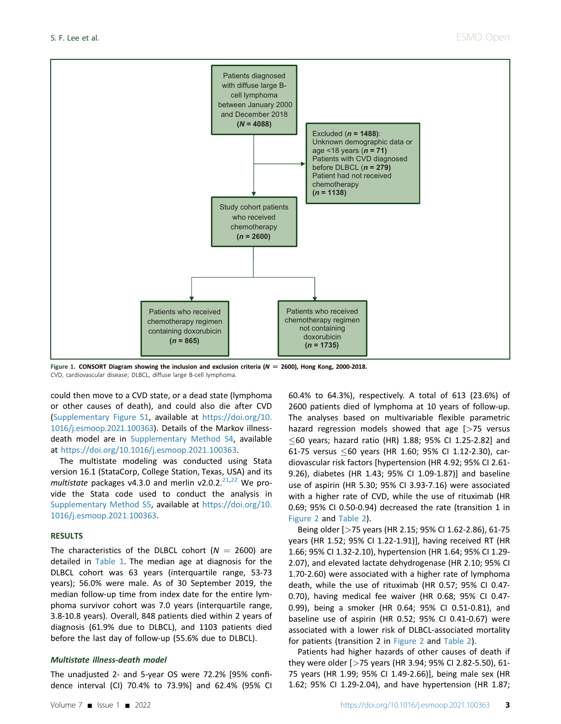<span id="page-2-0"></span>

Figure 1. CONSORT Diagram showing the inclusion and exclusion criteria ( $N = 2600$ ), Hong Kong, 2000-2018. CVD, cardiovascular disease; DLBCL, diffuse large B-cell lymphoma.

could then move to a CVD state, or a dead state (lymphoma or other causes of death), and could also die after CVD (Supplementary Figure S1, available at [https://doi.org/10.](https://doi.org/10.1016/j.esmoop.2021.100363) [1016/j.esmoop.2021.100363\)](https://doi.org/10.1016/j.esmoop.2021.100363). Details of the Markov illnessdeath model are in Supplementary Method S4, available at <https://doi.org/10.1016/j.esmoop.2021.100363>.

The multistate modeling was conducted using Stata version 16.1 (StataCorp, College Station, Texas, USA) and its multistate packages v4.3.0 and merlin v2.0.2. $^{21,22}$  $^{21,22}$  $^{21,22}$  $^{21,22}$  We provide the Stata code used to conduct the analysis in Supplementary Method S5, available at [https://doi.org/10.](https://doi.org/10.1016/j.esmoop.2021.100363) [1016/j.esmoop.2021.100363.](https://doi.org/10.1016/j.esmoop.2021.100363)

### RESULTS

The characteristics of the DLBCL cohort ( $N = 2600$ ) are detailed in [Table 1](#page-3-0). The median age at diagnosis for the DLBCL cohort was 63 years (interquartile range, 53-73 years); 56.0% were male. As of 30 September 2019, the median follow-up time from index date for the entire lymphoma survivor cohort was 7.0 years (interquartile range, 3.8-10.8 years). Overall, 848 patients died within 2 years of diagnosis (61.9% due to DLBCL), and 1103 patients died before the last day of follow-up (55.6% due to DLBCL).

#### Multistate illness-death model

The unadjusted 2- and 5-year OS were 72.2% [95% confidence interval (CI) 70.4% to 73.9%] and 62.4% (95% CI

60.4% to 64.3%), respectively. A total of 613 (23.6%) of 2600 patients died of lymphoma at 10 years of follow-up. The analyses based on multivariable flexible parametric hazard regression models showed that age [>75 versus  $\leq$ 60 years; hazard ratio (HR) 1.88; 95% CI 1.25-2.82] and 61-75 versus  $\leq$ 60 years (HR 1.60; 95% CI 1.12-2.30), cardiovascular risk factors [hypertension (HR 4.92; 95% CI 2.61- 9.26), diabetes (HR 1.43; 95% CI 1.09-1.87)] and baseline use of aspirin (HR 5.30; 95% CI 3.93-7.16) were associated with a higher rate of CVD, while the use of rituximab (HR 0.69; 95% CI 0.50-0.94) decreased the rate (transition 1 in [Figure 2](#page-4-0) and [Table 2](#page-5-0)).

Being older [>75 years (HR 2.15; 95% CI 1.62-2.86), 61-75 years (HR 1.52; 95% CI 1.22-1.91)], having received RT (HR 1.66; 95% CI 1.32-2.10), hypertension (HR 1.64; 95% CI 1.29- 2.07), and elevated lactate dehydrogenase (HR 2.10; 95% CI 1.70-2.60) were associated with a higher rate of lymphoma death, while the use of rituximab (HR 0.57; 95% CI 0.47- 0.70), having medical fee waiver (HR 0.68; 95% CI 0.47- 0.99), being a smoker (HR 0.64; 95% CI 0.51-0.81), and baseline use of aspirin (HR 0.52; 95% CI 0.41-0.67) were associated with a lower risk of DLBCL-associated mortality for patients (transition 2 in [Figure 2](#page-4-0) and [Table 2\)](#page-5-0).

Patients had higher hazards of other causes of death if they were older [>75 years (HR 3.94; 95% CI 2.82-5.50), 61- 75 years (HR 1.99; 95% CI 1.49-2.66)], being male sex (HR 1.62; 95% CI 1.29-2.04), and have hypertension (HR 1.87;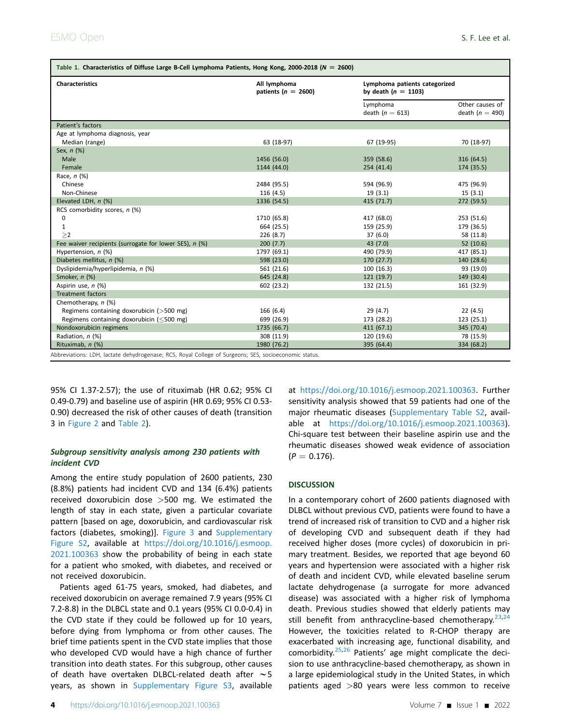<span id="page-3-0"></span>

| <b>Characteristics</b>                                 | All lymphoma<br>patients ( $n = 2600$ ) | by death $(n = 1103)$         | Lymphoma patients categorized        |  |  |
|--------------------------------------------------------|-----------------------------------------|-------------------------------|--------------------------------------|--|--|
|                                                        |                                         | Lymphoma<br>death $(n = 613)$ | Other causes of<br>death $(n = 490)$ |  |  |
| Patient's factors                                      |                                         |                               |                                      |  |  |
| Age at lymphoma diagnosis, year                        |                                         |                               |                                      |  |  |
| Median (range)                                         | 63 (18-97)                              | 67 (19-95)                    | 70 (18-97)                           |  |  |
| Sex, n (%)                                             |                                         |                               |                                      |  |  |
| Male                                                   | 1456 (56.0)                             | 359 (58.6)                    | 316 (64.5)                           |  |  |
| Female                                                 | 1144 (44.0)                             | 254(41.4)                     | 174 (35.5)                           |  |  |
| Race, n (%)                                            |                                         |                               |                                      |  |  |
| Chinese                                                | 2484 (95.5)                             | 594 (96.9)                    | 475 (96.9)                           |  |  |
| Non-Chinese                                            | 116 (4.5)                               | 19(3.1)                       | 15(3.1)                              |  |  |
| Elevated LDH, n (%)                                    | 1336 (54.5)                             | 415 (71.7)                    | 272 (59.5)                           |  |  |
| RCS comorbidity scores, n (%)                          |                                         |                               |                                      |  |  |
| 0                                                      | 1710 (65.8)                             | 417 (68.0)                    | 253 (51.6)                           |  |  |
| $\mathbf{1}$                                           | 664 (25.5)                              | 159 (25.9)                    | 179 (36.5)                           |  |  |
| >2                                                     | 226 (8.7)                               | 37(6.0)                       | 58 (11.8)                            |  |  |
| Fee waiver recipients (surrogate for lower SES), n (%) | 200(7.7)                                | 43 (7.0)                      | 52(10.6)                             |  |  |
| Hypertension, n (%)                                    | 1797 (69.1)                             | 490 (79.9)                    | 417 (85.1)                           |  |  |
| Diabetes mellitus, n (%)                               | 598 (23.0)                              | 170 (27.7)                    | 140 (28.6)                           |  |  |
| Dyslipidemia/hyperlipidemia, n (%)                     | 561 (21.6)                              | 100(16.3)                     | 93 (19.0)                            |  |  |
| Smoker, n (%)                                          | 645 (24.8)                              | 121(19.7)                     | 149 (30.4)                           |  |  |
| Aspirin use, n (%)                                     | 602 (23.2)                              | 132 (21.5)                    | 161 (32.9)                           |  |  |
| <b>Treatment factors</b>                               |                                         |                               |                                      |  |  |
| Chemotherapy, n (%)                                    |                                         |                               |                                      |  |  |
| Regimens containing doxorubicin (>500 mg)              | 166(6.4)                                | 29 (4.7)                      | 22(4.5)                              |  |  |
| Regimens containing doxorubicin ( $\leq$ 500 mg)       | 699 (26.9)                              | 173 (28.2)                    | 123 (25.1)                           |  |  |
| Nondoxorubicin regimens                                | 1735 (66.7)                             | 411(67.1)                     | 345 (70.4)                           |  |  |
| Radiation, n (%)                                       | 308 (11.9)                              | 120 (19.6)                    | 78 (15.9)                            |  |  |
| Rituximab, n (%)                                       | 1980 (76.2)                             | 395 (64.4)                    | 334 (68.2)                           |  |  |

Abbreviations: LDH, lactate dehydrogenase; RCS, Royal College of Surgeons; SES, socioeconomic status.

95% CI 1.37-2.57); the use of rituximab (HR 0.62; 95% CI 0.49-0.79) and baseline use of aspirin (HR 0.69; 95% CI 0.53- 0.90) decreased the risk of other causes of death (transition 3 in [Figure 2](#page-4-0) and [Table 2](#page-5-0)).

## Subgroup sensitivity analysis among 230 patients with incident CVD

Among the entire study population of 2600 patients, 230 (8.8%) patients had incident CVD and 134 (6.4%) patients received doxorubicin dose >500 mg. We estimated the length of stay in each state, given a particular covariate pattern [based on age, doxorubicin, and cardiovascular risk factors (diabetes, smoking)]. [Figure 3](#page-6-3) and Supplementary Figure S2, available at [https://doi.org/10.1016/j.esmoop.](https://doi.org/10.1016/j.esmoop.2021.100363) [2021.100363](https://doi.org/10.1016/j.esmoop.2021.100363) show the probability of being in each state for a patient who smoked, with diabetes, and received or not received doxorubicin.

Patients aged 61-75 years, smoked, had diabetes, and received doxorubicin on average remained 7.9 years (95% CI 7.2-8.8) in the DLBCL state and 0.1 years (95% CI 0.0-0.4) in the CVD state if they could be followed up for 10 years, before dying from lymphoma or from other causes. The brief time patients spent in the CVD state implies that those who developed CVD would have a high chance of further transition into death states. For this subgroup, other causes of death have overtaken DLBCL-related death after  $\sim$  5 years, as shown in Supplementary Figure S3, available

at [https://doi.org/10.1016/j.esmoop.2021.100363.](https://doi.org/10.1016/j.esmoop.2021.100363) Further sensitivity analysis showed that 59 patients had one of the major rheumatic diseases (Supplementary Table S2, available at [https://doi.org/10.1016/j.esmoop.2021.100363\)](https://doi.org/10.1016/j.esmoop.2021.100363). Chi-square test between their baseline aspirin use and the rheumatic diseases showed weak evidence of association  $(P = 0.176)$ .

## **DISCUSSION**

In a contemporary cohort of 2600 patients diagnosed with DLBCL without previous CVD, patients were found to have a trend of increased risk of transition to CVD and a higher risk of developing CVD and subsequent death if they had received higher doses (more cycles) of doxorubicin in primary treatment. Besides, we reported that age beyond 60 years and hypertension were associated with a higher risk of death and incident CVD, while elevated baseline serum lactate dehydrogenase (a surrogate for more advanced disease) was associated with a higher risk of lymphoma death. Previous studies showed that elderly patients may still benefit from anthracycline-based chemotherapy.  $23,24$  $23,24$ However, the toxicities related to R-CHOP therapy are exacerbated with increasing age, functional disability, and comorbidity.<sup>[25](#page-7-10),[26](#page-7-11)</sup> Patients' age might complicate the decision to use anthracycline-based chemotherapy, as shown in a large epidemiological study in the United States, in which patients aged >80 years were less common to receive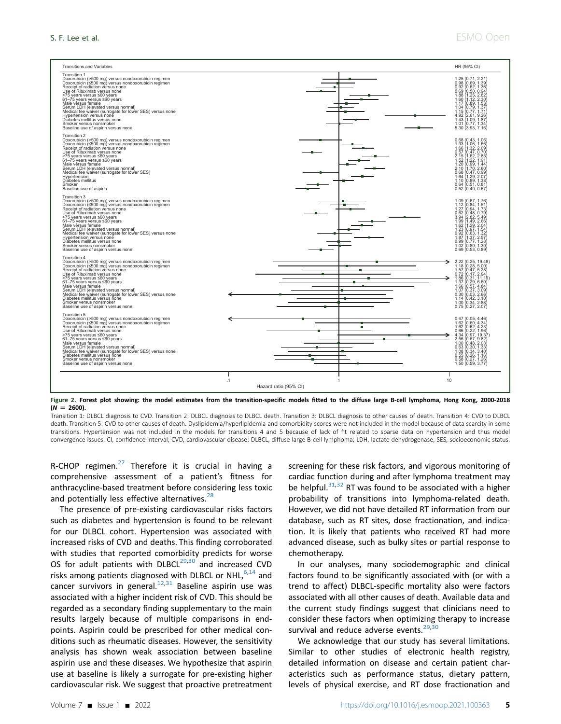<span id="page-4-0"></span>

Figure 2. Forest plot showing: the model estimates from the transition-specific models fitted to the diffuse large B-cell lymphoma, Hong Kong, 2000-2018  $(N = 2600)$ .

Transition 1: DLBCL diagnosis to CVD. Transition 2: DLBCL diagnosis to DLBCL death. Transition 3: DLBCL diagnosis to other causes of death. Transition 4: CVD to DLBCL death. Transition 5: CVD to other causes of death. Dyslipidemia/hyperlipidemia and comorbidity scores were not included in the model because of data scarcity in some transitions. Hypertension was not included in the models for transitions 4 and 5 because of lack of fit related to sparse data on hypertension and thus model convergence issues. CI, confidence interval; CVD, cardiovascular disease; DLBCL, diffuse large B-cell lymphoma; LDH, lactate dehydrogenase; SES, socioeconomic status.

R-CHOP regimen. $27$  Therefore it is crucial in having a comprehensive assessment of a patient's fitness for anthracycline-based treatment before considering less toxic and potentially less effective alternatives.<sup>[28](#page-7-13)</sup>

The presence of pre-existing cardiovascular risks factors such as diabetes and hypertension is found to be relevant for our DLBCL cohort. Hypertension was associated with increased risks of CVD and deaths. This finding corroborated with studies that reported comorbidity predicts for worse OS for adult patients with  $DLECL^{29,30}$  $DLECL^{29,30}$  $DLECL^{29,30}$  $DLECL^{29,30}$  and increased CVD risks among patients diagnosed with DLBCL or NHL, $6,14$  $6,14$  and cancer survivors in general. $12,31$  $12,31$  $12,31$  Baseline aspirin use was associated with a higher incident risk of CVD. This should be regarded as a secondary finding supplementary to the main results largely because of multiple comparisons in endpoints. Aspirin could be prescribed for other medical conditions such as rheumatic diseases. However, the sensitivity analysis has shown weak association between baseline aspirin use and these diseases. We hypothesize that aspirin use at baseline is likely a surrogate for pre-existing higher cardiovascular risk. We suggest that proactive pretreatment

screening for these risk factors, and vigorous monitoring of cardiac function during and after lymphoma treatment may be helpful. $31,32$  $31,32$  RT was found to be associated with a higher probability of transitions into lymphoma-related death. However, we did not have detailed RT information from our database, such as RT sites, dose fractionation, and indication. It is likely that patients who received RT had more advanced disease, such as bulky sites or partial response to chemotherapy.

In our analyses, many sociodemographic and clinical factors found to be significantly associated with (or with a trend to affect) DLBCL-specific mortality also were factors associated with all other causes of death. Available data and the current study findings suggest that clinicians need to consider these factors when optimizing therapy to increase survival and reduce adverse events.<sup>[29,](#page-7-14)[30](#page-7-15)</sup>

We acknowledge that our study has several limitations. Similar to other studies of electronic health registry, detailed information on disease and certain patient characteristics such as performance status, dietary pattern, levels of physical exercise, and RT dose fractionation and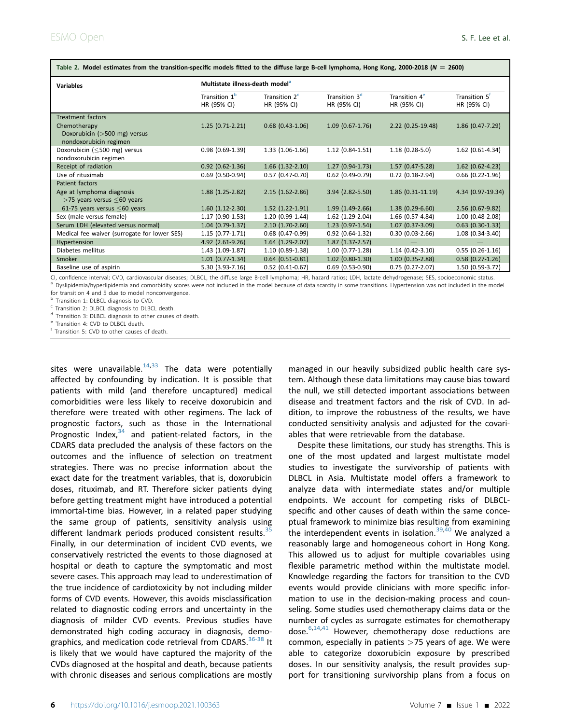| Table 2. Model estimates from the transition-specific models fitted to the diffuse large B-cell lymphoma, Hong Kong, 2000-2018 (N = 2000) |                                             |                                          |                                          |                                          |                                          |  |  |
|-------------------------------------------------------------------------------------------------------------------------------------------|---------------------------------------------|------------------------------------------|------------------------------------------|------------------------------------------|------------------------------------------|--|--|
| <b>Variables</b>                                                                                                                          | Multistate illness-death model <sup>a</sup> |                                          |                                          |                                          |                                          |  |  |
|                                                                                                                                           | Transition 1 <sup>b</sup><br>HR (95% CI)    | Transition 2 <sup>c</sup><br>HR (95% CI) | Transition 3 <sup>d</sup><br>HR (95% CI) | Transition 4 <sup>e</sup><br>HR (95% CI) | Transition 5 <sup>t</sup><br>HR (95% CI) |  |  |
| <b>Treatment factors</b>                                                                                                                  |                                             |                                          |                                          |                                          |                                          |  |  |
| Chemotherapy                                                                                                                              | $1.25(0.71-2.21)$                           | $0.68$ (0.43-1.06)                       | $1.09(0.67-1.76)$                        | $2.22$ (0.25-19.48)                      | $1.86$ (0.47-7.29)                       |  |  |
| Doxorubicin (>500 mg) versus<br>nondoxorubicin regimen                                                                                    |                                             |                                          |                                          |                                          |                                          |  |  |
| Doxorubicin (<500 mg) versus                                                                                                              | $0.98(0.69-1.39)$                           | $1.33(1.06-1.66)$                        | $1.12(0.84-1.51)$                        | $1.18(0.28-5.0)$                         | 1.62 (0.61-4.34)                         |  |  |
| nondoxorubicin regimen                                                                                                                    |                                             |                                          |                                          |                                          |                                          |  |  |
| Receipt of radiation                                                                                                                      | $0.92$ $(0.62 - 1.36)$                      | $1.66$ $(1.32-2.10)$                     | $1.27(0.94-1.73)$                        | $1.57(0.47-5.28)$                        | $1.62$ (0.62-4.23)                       |  |  |
| Use of rituximab                                                                                                                          | $0.69$ (0.50-0.94)                          | $0.57(0.47-0.70)$                        | $0.62$ (0.49-0.79)                       | $0.72$ (0.18-2.94)                       | $0.66$ (0.22-1.96)                       |  |  |
| Patient factors                                                                                                                           |                                             |                                          |                                          |                                          |                                          |  |  |
| Age at lymphoma diagnosis<br>$>$ 75 years versus $\leq$ 60 years                                                                          | $1.88(1.25-2.82)$                           | $2.15(1.62 - 2.86)$                      | $3.94$ (2.82-5.50)                       | $1.86(0.31-11.19)$                       | 4.34 (0.97-19.34)                        |  |  |
| 61-75 years versus $\leq$ 60 years                                                                                                        | $1.60(1.12-2.30)$                           | $1.52$ $(1.22 - 1.91)$                   | $1.99(1.49-2.66)$                        | $1.38(0.29-6.60)$                        | $2.56$ (0.67-9.82)                       |  |  |
| Sex (male versus female)                                                                                                                  | $1.17(0.90-1.53)$                           | 1.20 (0.99-1.44)                         | 1.62 (1.29-2.04)                         | 1.66 (0.57-4.84)                         | $1.00(0.48-2.08)$                        |  |  |
| Serum LDH (elevated versus normal)                                                                                                        | $1.04(0.79-1.37)$                           | $2.10(1.70-2.60)$                        | $1.23(0.97-1.54)$                        | $1.07(0.37-3.09)$                        | $0.63$ (0.30-1.33)                       |  |  |
| Medical fee waiver (surrogate for lower SES)                                                                                              | $1.15(0.77-1.71)$                           | $0.68$ (0.47-0.99)                       | $0.92$ (0.64-1.32)                       | $0.30(0.03-2.66)$                        | $1.08(0.34-3.40)$                        |  |  |
| Hypertension                                                                                                                              | 4.92 (2.61-9.26)                            | $1.64$ $(1.29-2.07)$                     | $1.87(1.37-2.57)$                        |                                          |                                          |  |  |
| Diabetes mellitus                                                                                                                         | $1.43(1.09-1.87)$                           | $1.10(0.89-1.38)$                        | $1.00(0.77-1.28)$                        | $1.14(0.42-3.10)$                        | $0.55(0.26-1.16)$                        |  |  |
| Smoker                                                                                                                                    | $1.01$ (0.77-1.34)                          | $0.64$ (0.51-0.81)                       | $1.02$ (0.80-1.30)                       | $1.00(0.35-2.88)$                        | $0.58$ $(0.27 - 1.26)$                   |  |  |
| Baseline use of aspirin                                                                                                                   | 5.30 (3.93-7.16)                            | $0.52$ (0.41-0.67)                       | $0.69$ (0.53-0.90)                       | $0.75(0.27-2.07)$                        | 1.50 (0.59-3.77)                         |  |  |

<span id="page-5-0"></span> $T<sub>1</sub>$  Table 2. Model estimates from the transition-specific models fitted to the diffuse large B-cell lymphoma, Hong Kong, 2000-2018 (N  $-$  2600)

<span id="page-5-1"></span>CI, confidence interval; CVD, cardiovascular diseases; DLBCL, the diffuse large B-cell lymphoma; HR, hazard ratios; LDH, lactate dehydrogenase; SES, socioeconomic status.<br><sup>a</sup> Dyslipidemia/hyperlipidemia and comorbidity sco

for transition 4 and 5 due to model nonconvergence.<br> $^{\rm b}$  Transition 1: DLBCL diagnosis to CVD.

<span id="page-5-2"></span>

<span id="page-5-3"></span><sup>c</sup> Transition 2: DLBCL diagnosis to DLBCL death.

<span id="page-5-4"></span><sup>d</sup> Transition 3: DLBCL diagnosis to other causes of death.<br>
<sup>e</sup> Transition 4: CVD to DLBCL death.<br>
<sup>f</sup> Transition 5: CVD to other causes of death.

<span id="page-5-5"></span>

<span id="page-5-6"></span>

sites were unavailable. $14,33$  $14,33$  The data were potentially affected by confounding by indication. It is possible that patients with mild (and therefore uncaptured) medical comorbidities were less likely to receive doxorubicin and therefore were treated with other regimens. The lack of prognostic factors, such as those in the International Prognostic Index, $34$  and patient-related factors, in the CDARS data precluded the analysis of these factors on the outcomes and the influence of selection on treatment strategies. There was no precise information about the exact date for the treatment variables, that is, doxorubicin doses, rituximab, and RT. Therefore sicker patients dying before getting treatment might have introduced a potential immortal-time bias. However, in a related paper studying the same group of patients, sensitivity analysis using different landmark periods produced consistent results.<sup>[35](#page-7-21)</sup> Finally, in our determination of incident CVD events, we conservatively restricted the events to those diagnosed at hospital or death to capture the symptomatic and most severe cases. This approach may lead to underestimation of the true incidence of cardiotoxicity by not including milder forms of CVD events. However, this avoids misclassification related to diagnostic coding errors and uncertainty in the diagnosis of milder CVD events. Previous studies have demonstrated high coding accuracy in diagnosis, demographics, and medication code retrieval from CDARS.<sup>36-38</sup> It is likely that we would have captured the majority of the CVDs diagnosed at the hospital and death, because patients with chronic diseases and serious complications are mostly

managed in our heavily subsidized public health care system. Although these data limitations may cause bias toward the null, we still detected important associations between disease and treatment factors and the risk of CVD. In addition, to improve the robustness of the results, we have conducted sensitivity analysis and adjusted for the covariables that were retrievable from the database.

Despite these limitations, our study has strengths. This is one of the most updated and largest multistate model studies to investigate the survivorship of patients with DLBCL in Asia. Multistate model offers a framework to analyze data with intermediate states and/or multiple endpoints. We account for competing risks of DLBCLspecific and other causes of death within the same conceptual framework to minimize bias resulting from examining the interdependent events in isolation.<sup>[39,](#page-7-23)[40](#page-7-24)</sup> We analyzed a reasonably large and homogeneous cohort in Hong Kong. This allowed us to adjust for multiple covariables using flexible parametric method within the multistate model. Knowledge regarding the factors for transition to the CVD events would provide clinicians with more specific information to use in the decision-making process and counseling. Some studies used chemotherapy claims data or the number of cycles as surrogate estimates for chemotherapy dose. $6,14,41$  $6,14,41$  $6,14,41$  However, chemotherapy dose reductions are common, especially in patients  $>75$  years of age. We were able to categorize doxorubicin exposure by prescribed doses. In our sensitivity analysis, the result provides support for transitioning survivorship plans from a focus on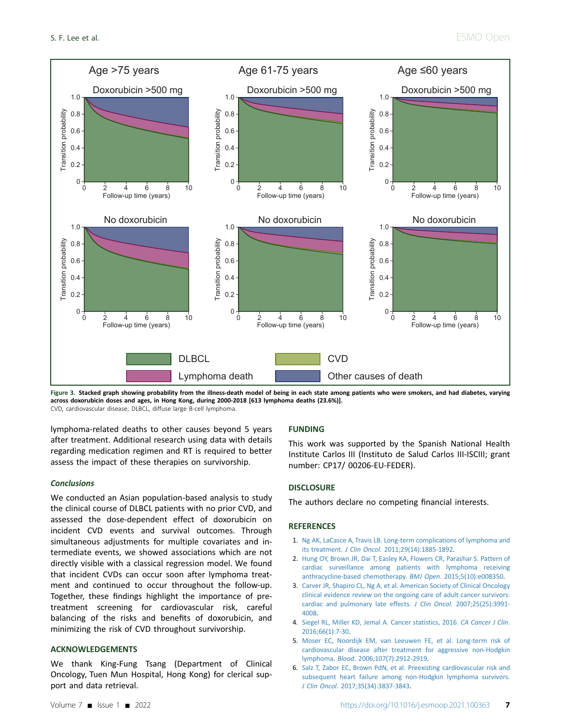<span id="page-6-3"></span>

Figure 3. Stacked graph showing probability from the illness-death model of being in each state among patients who were smokers, and had diabetes, varying across doxorubicin doses and ages, in Hong Kong, during 2000-2018 [613 lymphoma deaths (23.6%)]. CVD, cardiovascular disease; DLBCL, diffuse large B-cell lymphoma.

lymphoma-related deaths to other causes beyond 5 years after treatment. Additional research using data with details regarding medication regimen and RT is required to better assess the impact of these therapies on survivorship.

#### **Conclusions**

We conducted an Asian population-based analysis to study the clinical course of DLBCL patients with no prior CVD, and assessed the dose-dependent effect of doxorubicin on incident CVD events and survival outcomes. Through simultaneous adjustments for multiple covariates and intermediate events, we showed associations which are not directly visible with a classical regression model. We found that incident CVDs can occur soon after lymphoma treatment and continued to occur throughout the follow-up. Together, these findings highlight the importance of pretreatment screening for cardiovascular risk, careful balancing of the risks and benefits of doxorubicin, and minimizing the risk of CVD throughout survivorship.

#### ACKNOWLEDGEMENTS

We thank King-Fung Tsang (Department of Clinical Oncology, Tuen Mun Hospital, Hong Kong) for clerical support and data retrieval.

## FUNDING

This work was supported by the Spanish National Health Institute Carlos III (Instituto de Salud Carlos III-ISCIII; grant number: CP17/ 00206-EU-FEDER).

#### **DISCLOSURE**

The authors declare no competing financial interests.

#### **REFERENCES**

- <span id="page-6-0"></span>1. [Ng AK, LaCasce A, Travis LB. Long-term complications of lymphoma and](http://refhub.elsevier.com/S2059-7029(21)00325-2/sref1) its treatment. J Clin Oncol[. 2011;29\(14\):1885-1892](http://refhub.elsevier.com/S2059-7029(21)00325-2/sref1).
- <span id="page-6-1"></span>2. [Hung OY, Brown JR, Dai T, Easley KA, Flowers CR, Parashar S. Pattern of](http://refhub.elsevier.com/S2059-7029(21)00325-2/sref2) [cardiac surveillance among patients with lymphoma receiving](http://refhub.elsevier.com/S2059-7029(21)00325-2/sref2) [anthracycline-based chemotherapy.](http://refhub.elsevier.com/S2059-7029(21)00325-2/sref2) BMJ Open. 2015;5(10):e008350.
- 3. [Carver JR, Shapiro CL, Ng A, et al. American Society of Clinical Oncology](http://refhub.elsevier.com/S2059-7029(21)00325-2/sref3) [clinical evidence review on the ongoing care of adult cancer survivors:](http://refhub.elsevier.com/S2059-7029(21)00325-2/sref3) [cardiac and pulmonary late effects.](http://refhub.elsevier.com/S2059-7029(21)00325-2/sref3) J Clin Oncol. 2007;25(25):3991-[4008.](http://refhub.elsevier.com/S2059-7029(21)00325-2/sref3)
- 4. [Siegel RL, Miller KD, Jemal A. Cancer statistics, 2016.](http://refhub.elsevier.com/S2059-7029(21)00325-2/sref4) CA Cancer J Clin. [2016;66\(1\):7-30.](http://refhub.elsevier.com/S2059-7029(21)00325-2/sref4)
- <span id="page-6-2"></span>5. [Moser EC, Noordijk EM, van Leeuwen FE, et al. Long-term risk of](http://refhub.elsevier.com/S2059-7029(21)00325-2/sref5) [cardiovascular disease after treatment for aggressive non-Hodgkin](http://refhub.elsevier.com/S2059-7029(21)00325-2/sref5) lymphoma. Blood[. 2006;107\(7\):2912-2919](http://refhub.elsevier.com/S2059-7029(21)00325-2/sref5).
- <span id="page-6-4"></span>6. [Salz T, Zabor EC, Brown PdN, et al. Preexisting cardiovascular risk and](http://refhub.elsevier.com/S2059-7029(21)00325-2/sref6) [subsequent heart failure among non-Hodgkin lymphoma survivors.](http://refhub.elsevier.com/S2059-7029(21)00325-2/sref6) J Clin Oncol[. 2017;35\(34\):3837-3843](http://refhub.elsevier.com/S2059-7029(21)00325-2/sref6).